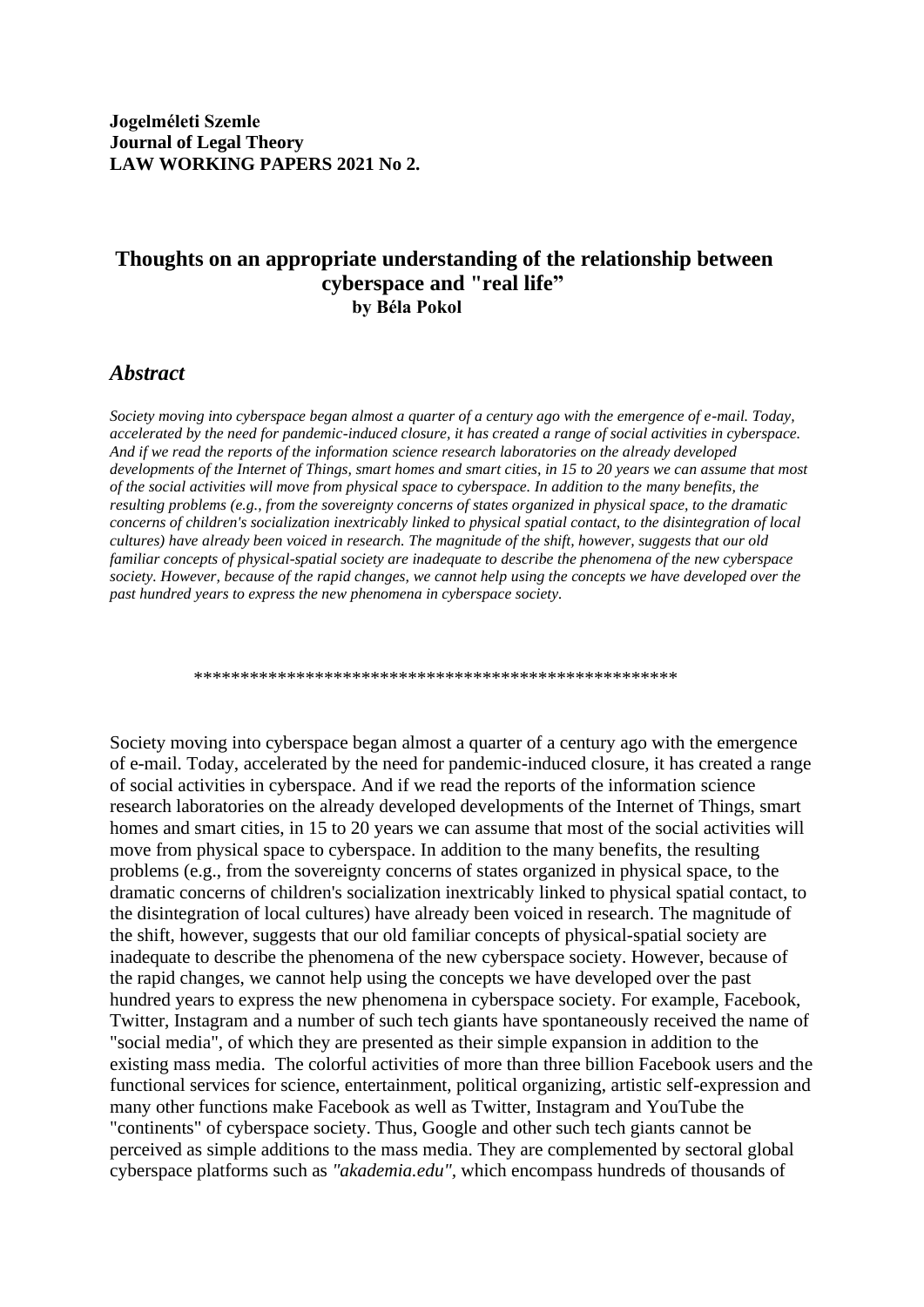**Jogelméleti Szemle Journal of Legal Theory LAW WORKING PAPERS 2021 No 2.**

## **Thoughts on an appropriate understanding of the relationship between cyberspace and "real life" by Béla Pokol**

## *Abstract*

*Society moving into cyberspace began almost a quarter of a century ago with the emergence of e-mail. Today, accelerated by the need for pandemic-induced closure, it has created a range of social activities in cyberspace. And if we read the reports of the information science research laboratories on the already developed developments of the Internet of Things, smart homes and smart cities, in 15 to 20 years we can assume that most of the social activities will move from physical space to cyberspace. In addition to the many benefits, the resulting problems (e.g., from the sovereignty concerns of states organized in physical space, to the dramatic concerns of children's socialization inextricably linked to physical spatial contact, to the disintegration of local cultures) have already been voiced in research. The magnitude of the shift, however, suggests that our old familiar concepts of physical-spatial society are inadequate to describe the phenomena of the new cyberspace society. However, because of the rapid changes, we cannot help using the concepts we have developed over the past hundred years to express the new phenomena in cyberspace society.*

\*\*\*\*\*\*\*\*\*\*\*\*\*\*\*\*\*\*\*\*\*\*\*\*\*\*\*\*\*\*\*\*\*\*\*\*\*\*\*\*\*\*\*\*\*\*\*\*\*\*\*\*

Society moving into cyberspace began almost a quarter of a century ago with the emergence of e-mail. Today, accelerated by the need for pandemic-induced closure, it has created a range of social activities in cyberspace. And if we read the reports of the information science research laboratories on the already developed developments of the Internet of Things, smart homes and smart cities, in 15 to 20 years we can assume that most of the social activities will move from physical space to cyberspace. In addition to the many benefits, the resulting problems (e.g., from the sovereignty concerns of states organized in physical space, to the dramatic concerns of children's socialization inextricably linked to physical spatial contact, to the disintegration of local cultures) have already been voiced in research. The magnitude of the shift, however, suggests that our old familiar concepts of physical-spatial society are inadequate to describe the phenomena of the new cyberspace society. However, because of the rapid changes, we cannot help using the concepts we have developed over the past hundred years to express the new phenomena in cyberspace society. For example, Facebook, Twitter, Instagram and a number of such tech giants have spontaneously received the name of "social media", of which they are presented as their simple expansion in addition to the existing mass media. The colorful activities of more than three billion Facebook users and the functional services for science, entertainment, political organizing, artistic self-expression and many other functions make Facebook as well as Twitter, Instagram and YouTube the "continents" of cyberspace society. Thus, Google and other such tech giants cannot be perceived as simple additions to the mass media. They are complemented by sectoral global cyberspace platforms such as *"akademia.edu",* which encompass hundreds of thousands of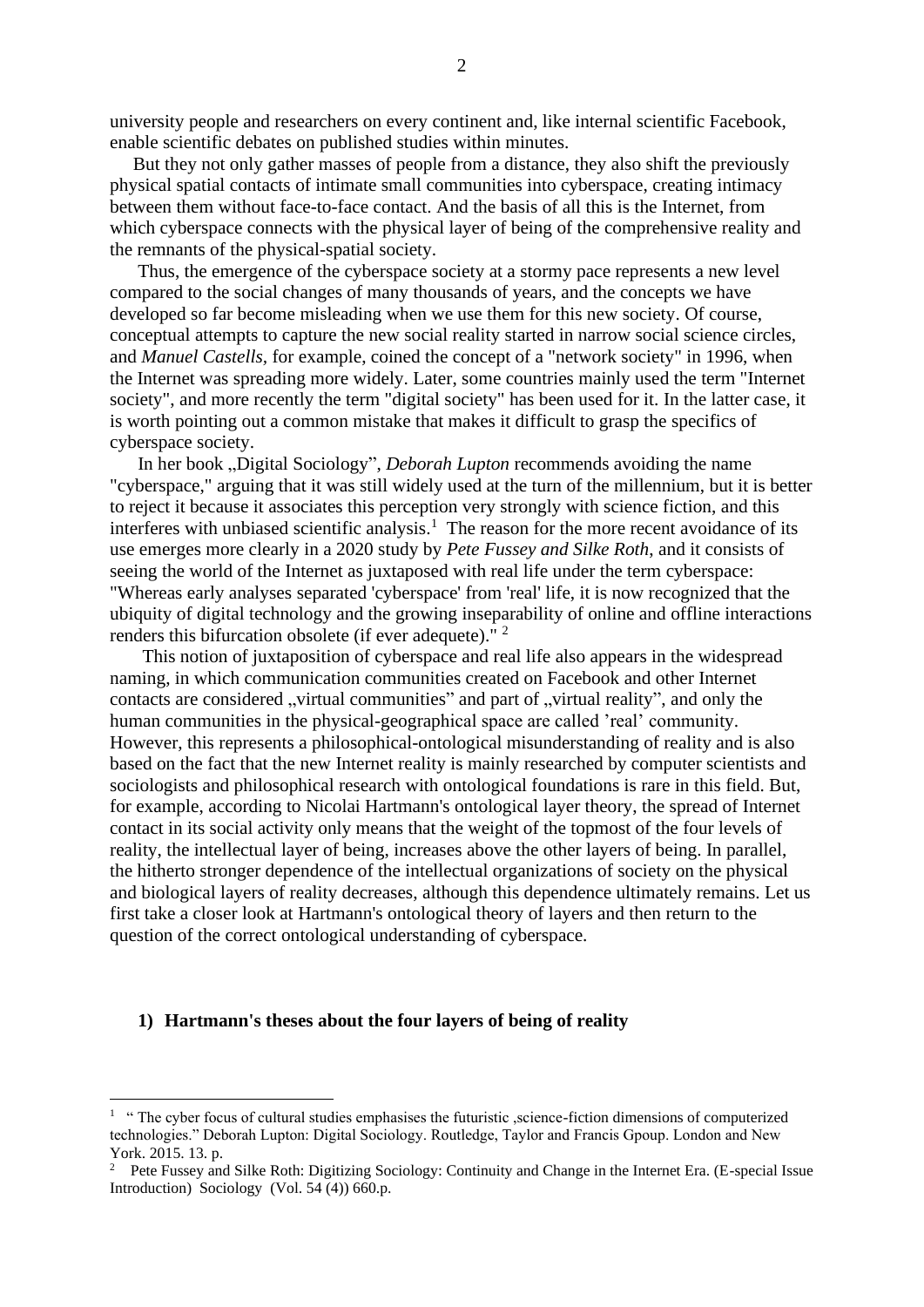university people and researchers on every continent and, like internal scientific Facebook, enable scientific debates on published studies within minutes.

 But they not only gather masses of people from a distance, they also shift the previously physical spatial contacts of intimate small communities into cyberspace, creating intimacy between them without face-to-face contact. And the basis of all this is the Internet, from which cyberspace connects with the physical layer of being of the comprehensive reality and the remnants of the physical-spatial society.

 Thus, the emergence of the cyberspace society at a stormy pace represents a new level compared to the social changes of many thousands of years, and the concepts we have developed so far become misleading when we use them for this new society. Of course, conceptual attempts to capture the new social reality started in narrow social science circles, and *Manuel Castells,* for example, coined the concept of a "network society" in 1996, when the Internet was spreading more widely. Later, some countries mainly used the term "Internet society", and more recently the term "digital society" has been used for it. In the latter case, it is worth pointing out a common mistake that makes it difficult to grasp the specifics of cyberspace society.

In her book "Digital Sociology", *Deborah Lupton* recommends avoiding the name "cyberspace," arguing that it was still widely used at the turn of the millennium, but it is better to reject it because it associates this perception very strongly with science fiction, and this interferes with unbiased scientific analysis.<sup>1</sup> The reason for the more recent avoidance of its use emerges more clearly in a 2020 study by *Pete Fussey and Silke Roth*, and it consists of seeing the world of the Internet as juxtaposed with real life under the term cyberspace: "Whereas early analyses separated 'cyberspace' from 'real' life, it is now recognized that the ubiquity of digital technology and the growing inseparability of online and offline interactions renders this bifurcation obsolete (if ever adequete)." <sup>2</sup>

 This notion of juxtaposition of cyberspace and real life also appears in the widespread naming, in which communication communities created on Facebook and other Internet contacts are considered "virtual communities" and part of "virtual reality", and only the human communities in the physical-geographical space are called 'real' community. However, this represents a philosophical-ontological misunderstanding of reality and is also based on the fact that the new Internet reality is mainly researched by computer scientists and sociologists and philosophical research with ontological foundations is rare in this field. But, for example, according to Nicolai Hartmann's ontological layer theory, the spread of Internet contact in its social activity only means that the weight of the topmost of the four levels of reality, the intellectual layer of being, increases above the other layers of being. In parallel, the hitherto stronger dependence of the intellectual organizations of society on the physical and biological layers of reality decreases, although this dependence ultimately remains. Let us first take a closer look at Hartmann's ontological theory of layers and then return to the question of the correct ontological understanding of cyberspace.

## **1) Hartmann's theses about the four layers of being of reality**

<sup>&</sup>lt;sup>1</sup> "The cyber focus of cultural studies emphasises the futuristic , science-fiction dimensions of computerized technologies." Deborah Lupton: Digital Sociology. Routledge, Taylor and Francis Gpoup. London and New York. 2015. 13. p.

<sup>&</sup>lt;sup>2</sup> Pete Fussey and Silke Roth: Digitizing Sociology: Continuity and Change in the Internet Era. (E-special Issue Introduction) Sociology (Vol. 54 (4)) 660.p.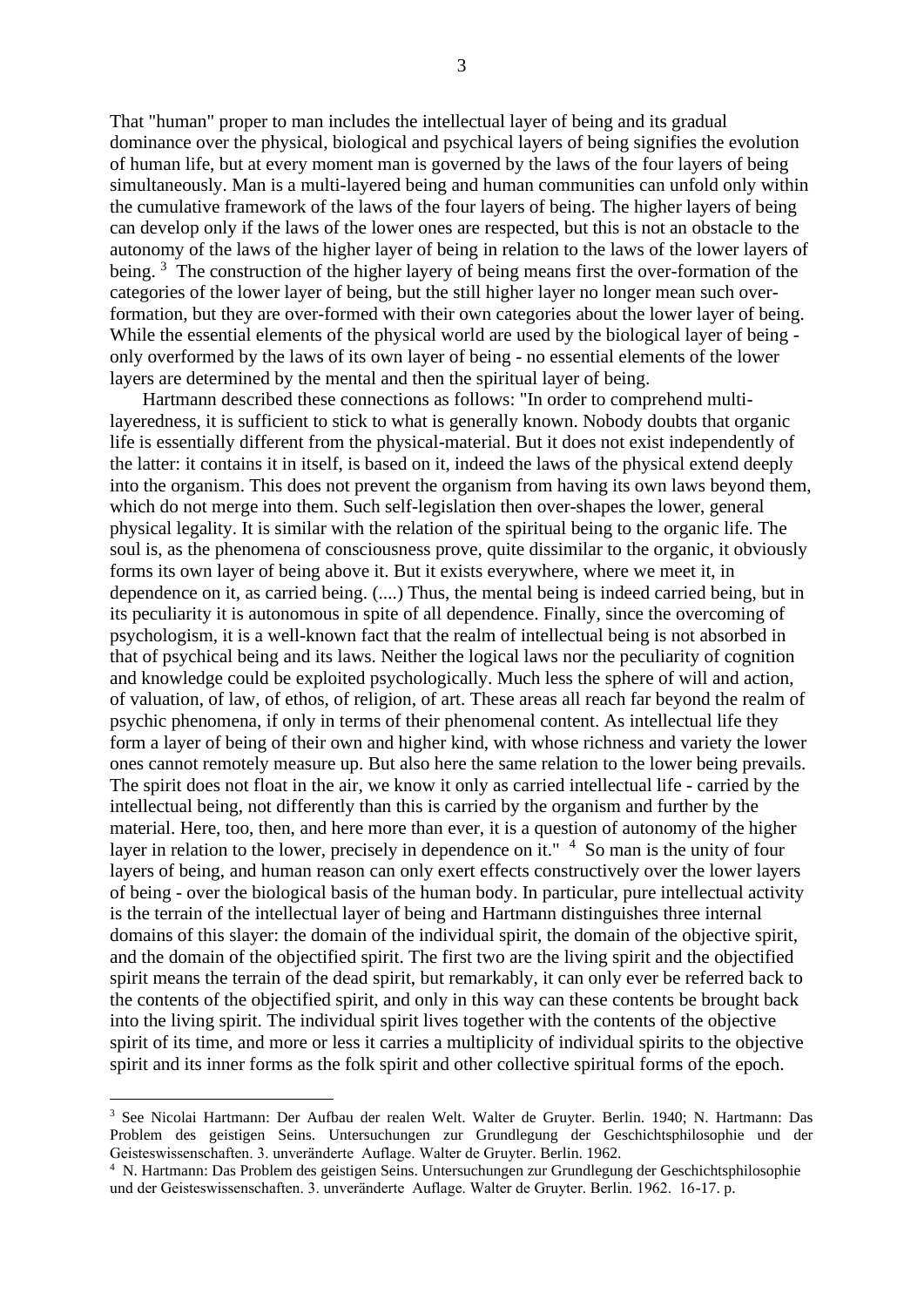That "human" proper to man includes the intellectual layer of being and its gradual dominance over the physical, biological and psychical layers of being signifies the evolution of human life, but at every moment man is governed by the laws of the four layers of being simultaneously. Man is a multi-layered being and human communities can unfold only within the cumulative framework of the laws of the four layers of being. The higher layers of being can develop only if the laws of the lower ones are respected, but this is not an obstacle to the autonomy of the laws of the higher layer of being in relation to the laws of the lower layers of being.<sup>3</sup> The construction of the higher layery of being means first the over-formation of the categories of the lower layer of being, but the still higher layer no longer mean such overformation, but they are over-formed with their own categories about the lower layer of being. While the essential elements of the physical world are used by the biological layer of being only overformed by the laws of its own layer of being - no essential elements of the lower layers are determined by the mental and then the spiritual layer of being.

 Hartmann described these connections as follows: "In order to comprehend multilayeredness, it is sufficient to stick to what is generally known. Nobody doubts that organic life is essentially different from the physical-material. But it does not exist independently of the latter: it contains it in itself, is based on it, indeed the laws of the physical extend deeply into the organism. This does not prevent the organism from having its own laws beyond them, which do not merge into them. Such self-legislation then over-shapes the lower, general physical legality. It is similar with the relation of the spiritual being to the organic life. The soul is, as the phenomena of consciousness prove, quite dissimilar to the organic, it obviously forms its own layer of being above it. But it exists everywhere, where we meet it, in dependence on it, as carried being. (....) Thus, the mental being is indeed carried being, but in its peculiarity it is autonomous in spite of all dependence. Finally, since the overcoming of psychologism, it is a well-known fact that the realm of intellectual being is not absorbed in that of psychical being and its laws. Neither the logical laws nor the peculiarity of cognition and knowledge could be exploited psychologically. Much less the sphere of will and action, of valuation, of law, of ethos, of religion, of art. These areas all reach far beyond the realm of psychic phenomena, if only in terms of their phenomenal content. As intellectual life they form a layer of being of their own and higher kind, with whose richness and variety the lower ones cannot remotely measure up. But also here the same relation to the lower being prevails. The spirit does not float in the air, we know it only as carried intellectual life - carried by the intellectual being, not differently than this is carried by the organism and further by the material. Here, too, then, and here more than ever, it is a question of autonomy of the higher layer in relation to the lower, precisely in dependence on it."  $4\,$  So man is the unity of four layers of being, and human reason can only exert effects constructively over the lower layers of being - over the biological basis of the human body. In particular, pure intellectual activity is the terrain of the intellectual layer of being and Hartmann distinguishes three internal domains of this slayer: the domain of the individual spirit, the domain of the objective spirit, and the domain of the objectified spirit. The first two are the living spirit and the objectified spirit means the terrain of the dead spirit, but remarkably, it can only ever be referred back to the contents of the objectified spirit, and only in this way can these contents be brought back into the living spirit. The individual spirit lives together with the contents of the objective spirit of its time, and more or less it carries a multiplicity of individual spirits to the objective spirit and its inner forms as the folk spirit and other collective spiritual forms of the epoch.

<sup>3</sup> See Nicolai Hartmann: Der Aufbau der realen Welt. Walter de Gruyter. Berlin. 1940; N. Hartmann: Das Problem des geistigen Seins. Untersuchungen zur Grundlegung der Geschichtsphilosophie und der Geisteswissenschaften. 3. unveränderte Auflage. Walter de Gruyter. Berlin. 1962.

<sup>4</sup> N. Hartmann: Das Problem des geistigen Seins. Untersuchungen zur Grundlegung der Geschichtsphilosophie und der Geisteswissenschaften. 3. unveränderte Auflage. Walter de Gruyter. Berlin. 1962. 16-17. p.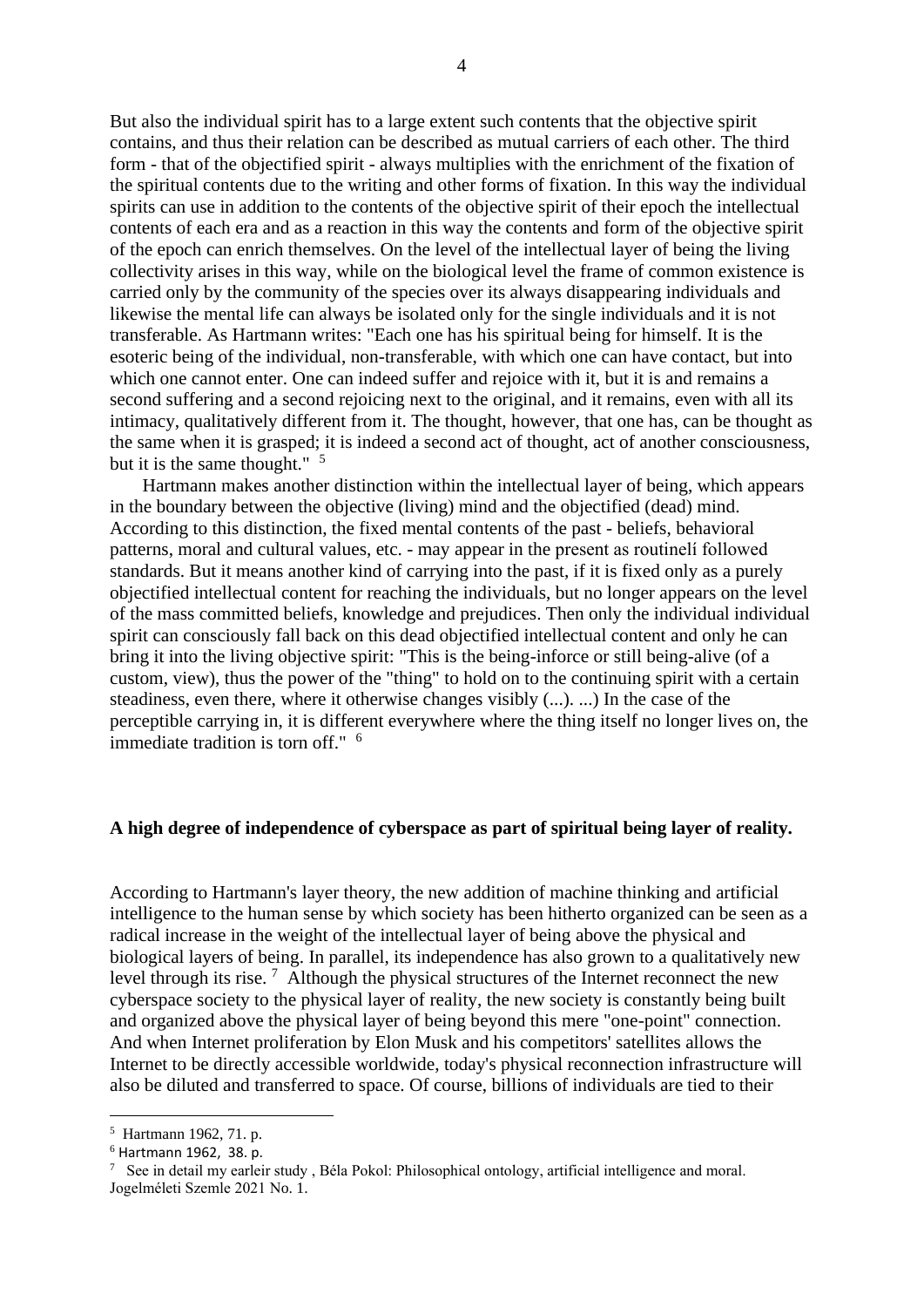But also the individual spirit has to a large extent such contents that the objective spirit contains, and thus their relation can be described as mutual carriers of each other. The third form - that of the objectified spirit - always multiplies with the enrichment of the fixation of the spiritual contents due to the writing and other forms of fixation. In this way the individual spirits can use in addition to the contents of the objective spirit of their epoch the intellectual contents of each era and as a reaction in this way the contents and form of the objective spirit of the epoch can enrich themselves. On the level of the intellectual layer of being the living collectivity arises in this way, while on the biological level the frame of common existence is carried only by the community of the species over its always disappearing individuals and likewise the mental life can always be isolated only for the single individuals and it is not transferable. As Hartmann writes: "Each one has his spiritual being for himself. It is the esoteric being of the individual, non-transferable, with which one can have contact, but into which one cannot enter. One can indeed suffer and rejoice with it, but it is and remains a second suffering and a second rejoicing next to the original, and it remains, even with all its intimacy, qualitatively different from it. The thought, however, that one has, can be thought as the same when it is grasped; it is indeed a second act of thought, act of another consciousness, but it is the same thought."  $\frac{5}{ }$ 

 Hartmann makes another distinction within the intellectual layer of being, which appears in the boundary between the objective (living) mind and the objectified (dead) mind. According to this distinction, the fixed mental contents of the past - beliefs, behavioral patterns, moral and cultural values, etc. - may appear in the present as routinelí followed standards. But it means another kind of carrying into the past, if it is fixed only as a purely objectified intellectual content for reaching the individuals, but no longer appears on the level of the mass committed beliefs, knowledge and prejudices. Then only the individual individual spirit can consciously fall back on this dead objectified intellectual content and only he can bring it into the living objective spirit: "This is the being-inforce or still being-alive (of a custom, view), thus the power of the "thing" to hold on to the continuing spirit with a certain steadiness, even there, where it otherwise changes visibly (...). ...) In the case of the perceptible carrying in, it is different everywhere where the thing itself no longer lives on, the immediate tradition is torn off." <sup>6</sup>

## **A high degree of independence of cyberspace as part of spiritual being layer of reality.**

According to Hartmann's layer theory, the new addition of machine thinking and artificial intelligence to the human sense by which society has been hitherto organized can be seen as a radical increase in the weight of the intellectual layer of being above the physical and biological layers of being. In parallel, its independence has also grown to a qualitatively new level through its rise.<sup>7</sup> Although the physical structures of the Internet reconnect the new cyberspace society to the physical layer of reality, the new society is constantly being built and organized above the physical layer of being beyond this mere "one-point" connection. And when Internet proliferation by Elon Musk and his competitors' satellites allows the Internet to be directly accessible worldwide, today's physical reconnection infrastructure will also be diluted and transferred to space. Of course, billions of individuals are tied to their

<sup>5</sup> Hartmann 1962, 71. p.

<sup>6</sup> Hartmann 1962, 38. p.

<sup>&</sup>lt;sup>7</sup> See in detail my earleir study, Béla Pokol: Philosophical ontology, artificial intelligence and moral. Jogelméleti Szemle 2021 No. 1.